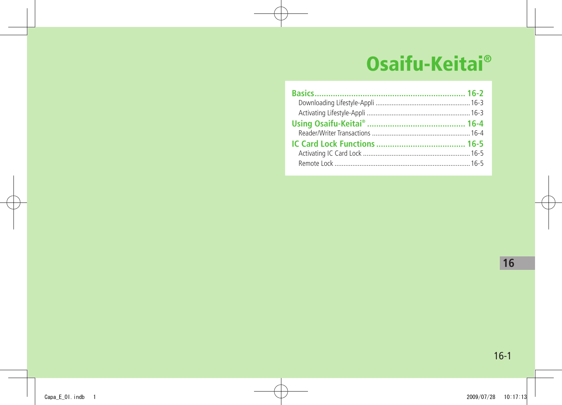# **Osaifu-Keitai®**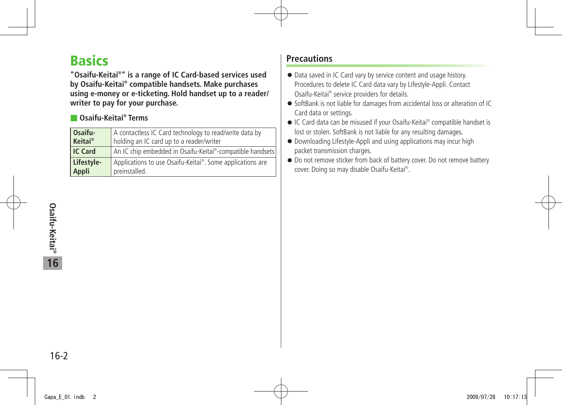# <span id="page-1-0"></span>**Basics**

**"Osaifu-Keitai® " is a range of IC Card-based services used by Osaifu-Keitai® compatible handsets. Make purchases using e-money or e-ticketing. Hold handset up to a reader/ writer to pay for your purchase.**

### ■ **Osaifu-Keitai® Terms**

| Osaifu-    | A contactless IC Card technology to read/write data by    |
|------------|-----------------------------------------------------------|
| Keitai®    | holding an IC card up to a reader/writer                  |
| IC Card    | An IC chip embedded in Osaifu-Keitai®-compatible handsets |
| Lifestyle- | Applications to use Osaifu-Keitai®. Some applications are |
| Appli      | preinstalled.                                             |

# **Precautions**

- Data saved in IC Card vary by service content and usage history. Procedures to delete IC Card data vary by Lifestyle-Appli. Contact Osaifu-Keitai® service providers for details.
- SoftBank is not liable for damages from accidental loss or alteration of IC Card data or settings.
- IC Card data can be misused if your Osaifu-Keitai<sup>®</sup> compatible handset is lost or stolen. SoftBank is not liable for any resulting damages.
- Downloading Lifestyle-Appli and using applications may incur high packet transmission charges.
- Do not remove sticker from back of battery cover. Do not remove battery cover. Doing so may disable Osaifu-Keitai® .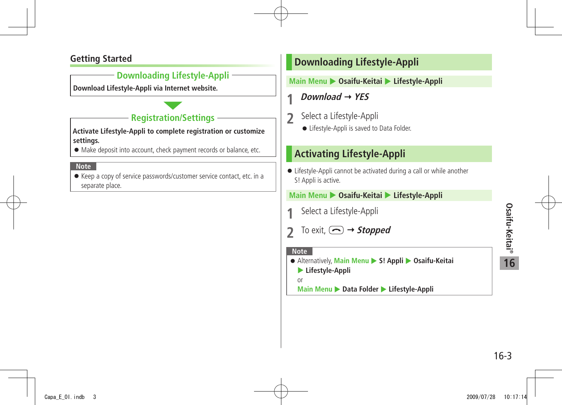# Osaifu-Keitai® **Osaifu-Keitai® 16**

## <span id="page-2-0"></span>**Getting Started**

### **Downloading Lifestyle-Appli**

**Download Lifestyle-Appli via Internet website.**

# **Registration/Settings**

**Activate Lifestyle-Appli to complete registration or customize settings.**

● Make deposit into account, check payment records or balance, etc.

#### **Note**

● Keep a copy of service passwords/customer service contact, etc. in a separate place.

# **Downloading Lifestyle-Appli**

#### **Main Menu** X **Osaifu-Keitai** X **Lifestyle-Appli**

- **1** *Download*  $\rightarrow$  YES
- **2** Select a Lifestyle-Appli
	- Lifestyle-Appli is saved to Data Folder.

# **Activating Lifestyle-Appli**

● Lifestyle-Appli cannot be activated during a call or while another S! Appli is active.

#### **Main Menu** X **Osaifu-Keitai** X **Lifestyle-Appli**

- **1** Select a Lifestyle-Appli
- **2** To exit,  $\textcircled{2}$   $\rightarrow$  **Stopped**

#### **Note**

● Alternatively, Main Menu ▶ S! Appli ▶ Osaifu-Keitai X **Lifestyle-Appli** 

or

**Main Menu ▶ Data Folder ▶ Lifestyle-Appli**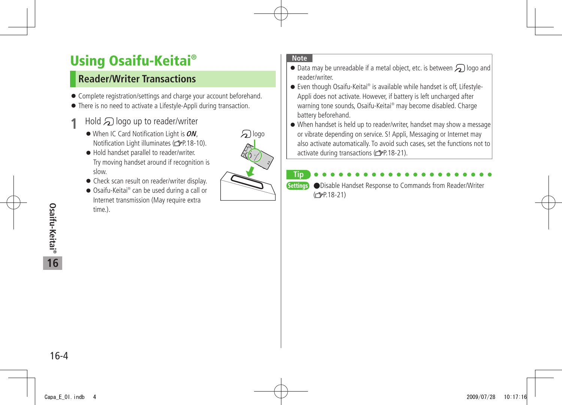# <span id="page-3-0"></span>**Using Osaifu-Keitai®**

# **Reader/Writer Transactions**

- Complete registration/settings and charge your account beforehand.
- There is no need to activate a Lifestyle-Appli during transaction.
- $1$  Hold  $\mathfrak{D}$  logo up to reader/writer
	- ●When IC Card Notification Light is **ON**, Notification Light illuminates ( $\mathcal{P}$ P.18-10).
	- Hold handset parallel to reader/writer. Try moving handset around if recognition is slow.
	- Check scan result on reader/writer display.
	- Osaifu-Keitai® can be used during a call or Internet transmission (May require extra time.).



#### **Note**

- $\bullet$  Data may be unreadable if a metal object, etc. is between  $\bigcirc$  logo and reader/writer.
- Even though Osaifu-Keitai® is available while handset is off, Lifestyle-Appli does not activate. However, if battery is left uncharged after warning tone sounds, Osaifu-Keitai® may become disabled. Charge battery beforehand.
- When handset is held up to reader/writer, handset may show a message or vibrate depending on service. S! Appli, Messaging or Internet may also activate automatically. To avoid such cases, set the functions not to activate during transactions (子P.18-21).

#### **Tip** Settings ●Disable Handset Response to Commands from Reader/Writer  $(2P.18-21)$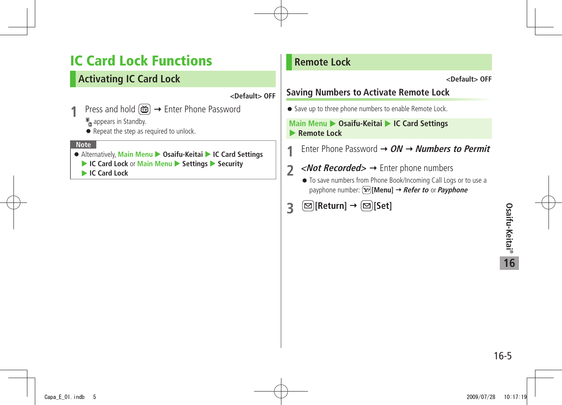# <span id="page-4-0"></span>**IC Card Lock Functions**

# **Activating IC Card Lock**

**<Default> OFF**

1 Press and hold  $\boxed{m}$  → Enter Phone Password

 $\mathbb{F}_a$  appears in Standby.

● Repeat the step as required to unlock.

#### **Note**

- Alternatively, Main Menu ▶ Osaifu-Keitai ▶ IC Card Settings
	- ▶ **IC Card Lock** or **Main Menu** ▶ Settings ▶ Security

**IC Card Lock** 

# **Remote Lock**

**<Default> OFF**

# **Saving Numbers to Activate Remote Lock**

● Save up to three phone numbers to enable Remote Lock.

#### **Main Menu > Osaifu-Keitai > IC Card Settings Remote Lock**

**1** Enter Phone Password **ON Numbers to Permit**

- **2** < *Not Recorded* > → Enter phone numbers
	- To save numbers from Phone Book/Incoming Call Logs or to use a payphone number: **[Menu] Refer to** or **Payphone**
- **3 [Return] [Set]**